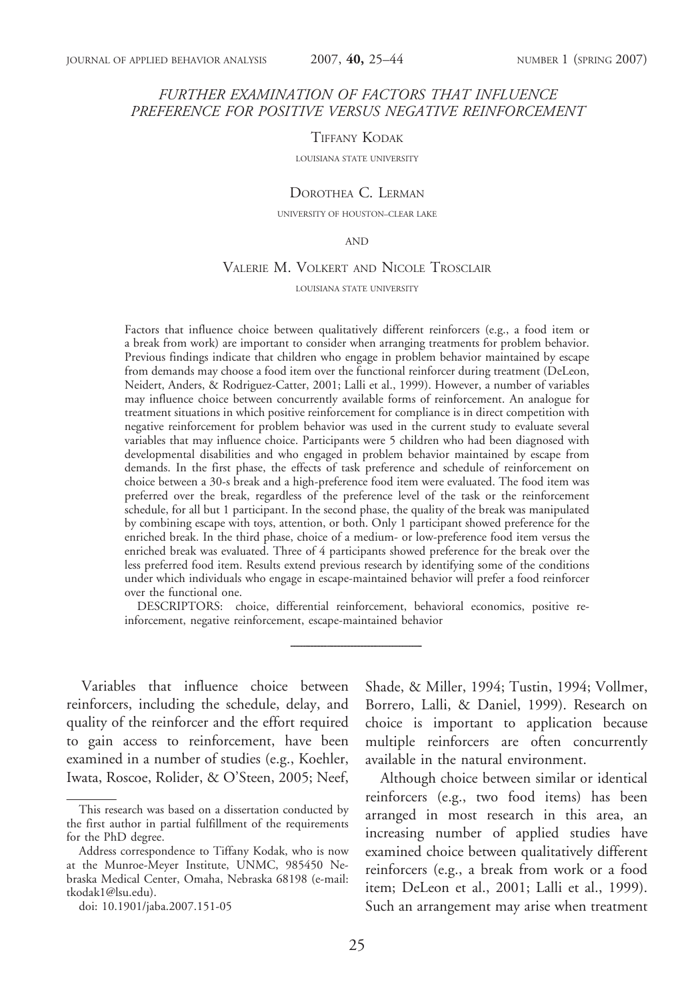# FURTHER EXAMINATION OF FACTORS THAT INFLUENCE PREFERENCE FOR POSITIVE VERSUS NEGATIVE REINFORCEMENT

#### TIFFANY KODAK

LOUISIANA STATE UNIVERSITY

## DOROTHEA C. LERMAN

UNIVERSITY OF HOUSTON–CLEAR LAKE

AND

# VALERIE M. VOLKERT AND NICOLE TROSCLAIR

LOUISIANA STATE UNIVERSITY

Factors that influence choice between qualitatively different reinforcers (e.g., a food item or a break from work) are important to consider when arranging treatments for problem behavior. Previous findings indicate that children who engage in problem behavior maintained by escape from demands may choose a food item over the functional reinforcer during treatment (DeLeon, Neidert, Anders, & Rodriguez-Catter, 2001; Lalli et al., 1999). However, a number of variables may influence choice between concurrently available forms of reinforcement. An analogue for treatment situations in which positive reinforcement for compliance is in direct competition with negative reinforcement for problem behavior was used in the current study to evaluate several variables that may influence choice. Participants were 5 children who had been diagnosed with developmental disabilities and who engaged in problem behavior maintained by escape from demands. In the first phase, the effects of task preference and schedule of reinforcement on choice between a 30-s break and a high-preference food item were evaluated. The food item was preferred over the break, regardless of the preference level of the task or the reinforcement schedule, for all but 1 participant. In the second phase, the quality of the break was manipulated by combining escape with toys, attention, or both. Only 1 participant showed preference for the enriched break. In the third phase, choice of a medium- or low-preference food item versus the enriched break was evaluated. Three of 4 participants showed preference for the break over the less preferred food item. Results extend previous research by identifying some of the conditions under which individuals who engage in escape-maintained behavior will prefer a food reinforcer over the functional one.

DESCRIPTORS: choice, differential reinforcement, behavioral economics, positive reinforcement, negative reinforcement, escape-maintained behavior

Variables that influence choice between reinforcers, including the schedule, delay, and quality of the reinforcer and the effort required to gain access to reinforcement, have been examined in a number of studies (e.g., Koehler, Iwata, Roscoe, Rolider, & O'Steen, 2005; Neef,

Shade, & Miller, 1994; Tustin, 1994; Vollmer, Borrero, Lalli, & Daniel, 1999). Research on choice is important to application because multiple reinforcers are often concurrently available in the natural environment.

Although choice between similar or identical reinforcers (e.g., two food items) has been arranged in most research in this area, an increasing number of applied studies have examined choice between qualitatively different reinforcers (e.g., a break from work or a food item; DeLeon et al., 2001; Lalli et al., 1999). Such an arrangement may arise when treatment

This research was based on a dissertation conducted by the first author in partial fulfillment of the requirements for the PhD degree.

Address correspondence to Tiffany Kodak, who is now at the Munroe-Meyer Institute, UNMC, 985450 Nebraska Medical Center, Omaha, Nebraska 68198 (e-mail: tkodak1@lsu.edu).

doi: 10.1901/jaba.2007.151-05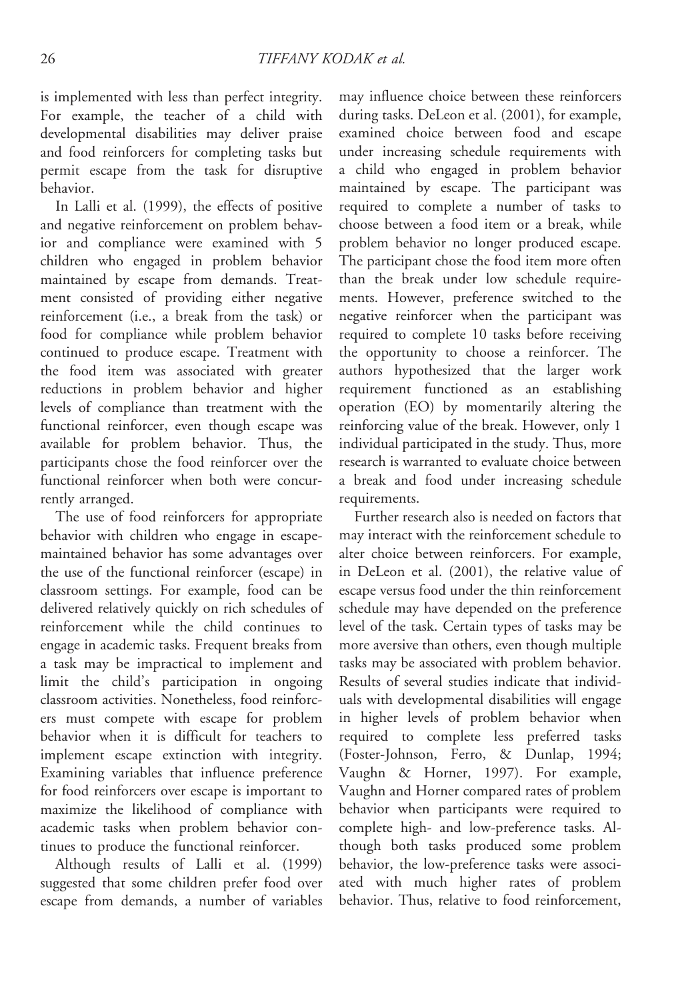is implemented with less than perfect integrity. For example, the teacher of a child with developmental disabilities may deliver praise and food reinforcers for completing tasks but permit escape from the task for disruptive behavior.

In Lalli et al. (1999), the effects of positive and negative reinforcement on problem behavior and compliance were examined with 5 children who engaged in problem behavior maintained by escape from demands. Treatment consisted of providing either negative reinforcement (i.e., a break from the task) or food for compliance while problem behavior continued to produce escape. Treatment with the food item was associated with greater reductions in problem behavior and higher levels of compliance than treatment with the functional reinforcer, even though escape was available for problem behavior. Thus, the participants chose the food reinforcer over the functional reinforcer when both were concurrently arranged.

The use of food reinforcers for appropriate behavior with children who engage in escapemaintained behavior has some advantages over the use of the functional reinforcer (escape) in classroom settings. For example, food can be delivered relatively quickly on rich schedules of reinforcement while the child continues to engage in academic tasks. Frequent breaks from a task may be impractical to implement and limit the child's participation in ongoing classroom activities. Nonetheless, food reinforcers must compete with escape for problem behavior when it is difficult for teachers to implement escape extinction with integrity. Examining variables that influence preference for food reinforcers over escape is important to maximize the likelihood of compliance with academic tasks when problem behavior continues to produce the functional reinforcer.

Although results of Lalli et al. (1999) suggested that some children prefer food over escape from demands, a number of variables may influence choice between these reinforcers during tasks. DeLeon et al. (2001), for example, examined choice between food and escape under increasing schedule requirements with a child who engaged in problem behavior maintained by escape. The participant was required to complete a number of tasks to choose between a food item or a break, while problem behavior no longer produced escape. The participant chose the food item more often than the break under low schedule requirements. However, preference switched to the negative reinforcer when the participant was required to complete 10 tasks before receiving the opportunity to choose a reinforcer. The authors hypothesized that the larger work requirement functioned as an establishing operation (EO) by momentarily altering the reinforcing value of the break. However, only 1 individual participated in the study. Thus, more research is warranted to evaluate choice between a break and food under increasing schedule requirements.

Further research also is needed on factors that may interact with the reinforcement schedule to alter choice between reinforcers. For example, in DeLeon et al. (2001), the relative value of escape versus food under the thin reinforcement schedule may have depended on the preference level of the task. Certain types of tasks may be more aversive than others, even though multiple tasks may be associated with problem behavior. Results of several studies indicate that individuals with developmental disabilities will engage in higher levels of problem behavior when required to complete less preferred tasks (Foster-Johnson, Ferro, & Dunlap, 1994; Vaughn & Horner, 1997). For example, Vaughn and Horner compared rates of problem behavior when participants were required to complete high- and low-preference tasks. Although both tasks produced some problem behavior, the low-preference tasks were associated with much higher rates of problem behavior. Thus, relative to food reinforcement,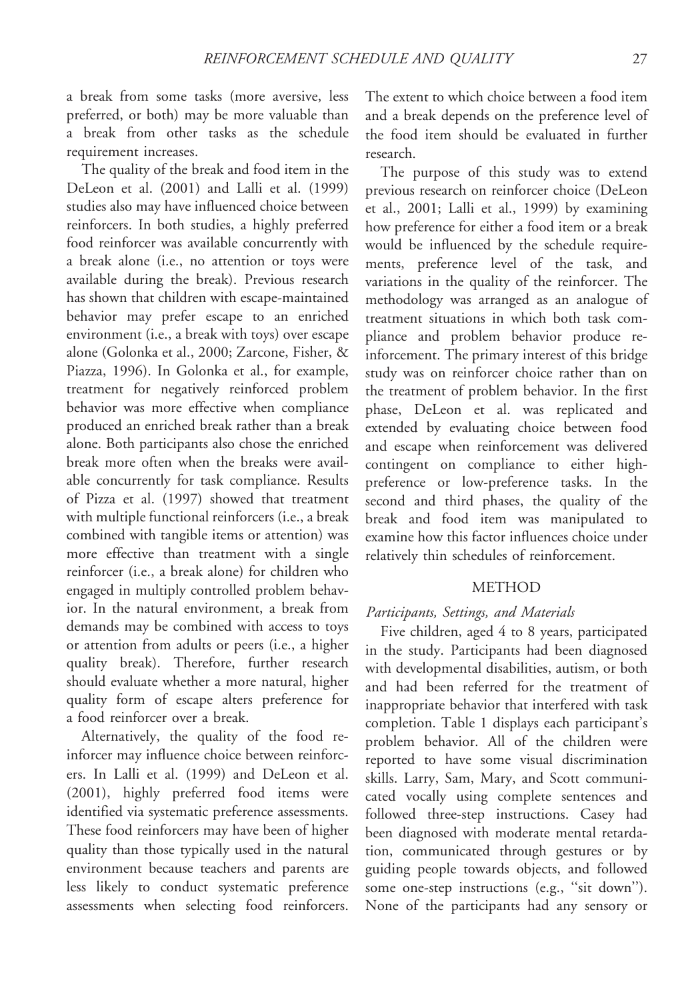a break from some tasks (more aversive, less preferred, or both) may be more valuable than a break from other tasks as the schedule requirement increases.

The quality of the break and food item in the DeLeon et al. (2001) and Lalli et al. (1999) studies also may have influenced choice between reinforcers. In both studies, a highly preferred food reinforcer was available concurrently with a break alone (i.e., no attention or toys were available during the break). Previous research has shown that children with escape-maintained behavior may prefer escape to an enriched environment (i.e., a break with toys) over escape alone (Golonka et al., 2000; Zarcone, Fisher, & Piazza, 1996). In Golonka et al., for example, treatment for negatively reinforced problem behavior was more effective when compliance produced an enriched break rather than a break alone. Both participants also chose the enriched break more often when the breaks were available concurrently for task compliance. Results of Pizza et al. (1997) showed that treatment with multiple functional reinforcers (i.e., a break combined with tangible items or attention) was more effective than treatment with a single reinforcer (i.e., a break alone) for children who engaged in multiply controlled problem behavior. In the natural environment, a break from demands may be combined with access to toys or attention from adults or peers (i.e., a higher quality break). Therefore, further research should evaluate whether a more natural, higher quality form of escape alters preference for a food reinforcer over a break.

Alternatively, the quality of the food reinforcer may influence choice between reinforcers. In Lalli et al. (1999) and DeLeon et al. (2001), highly preferred food items were identified via systematic preference assessments. These food reinforcers may have been of higher quality than those typically used in the natural environment because teachers and parents are less likely to conduct systematic preference assessments when selecting food reinforcers. The extent to which choice between a food item and a break depends on the preference level of the food item should be evaluated in further research.

The purpose of this study was to extend previous research on reinforcer choice (DeLeon et al., 2001; Lalli et al., 1999) by examining how preference for either a food item or a break would be influenced by the schedule requirements, preference level of the task, and variations in the quality of the reinforcer. The methodology was arranged as an analogue of treatment situations in which both task compliance and problem behavior produce reinforcement. The primary interest of this bridge study was on reinforcer choice rather than on the treatment of problem behavior. In the first phase, DeLeon et al. was replicated and extended by evaluating choice between food and escape when reinforcement was delivered contingent on compliance to either highpreference or low-preference tasks. In the second and third phases, the quality of the break and food item was manipulated to examine how this factor influences choice under relatively thin schedules of reinforcement.

# METHOD

## Participants, Settings, and Materials

Five children, aged 4 to 8 years, participated in the study. Participants had been diagnosed with developmental disabilities, autism, or both and had been referred for the treatment of inappropriate behavior that interfered with task completion. Table 1 displays each participant's problem behavior. All of the children were reported to have some visual discrimination skills. Larry, Sam, Mary, and Scott communicated vocally using complete sentences and followed three-step instructions. Casey had been diagnosed with moderate mental retardation, communicated through gestures or by guiding people towards objects, and followed some one-step instructions (e.g., ''sit down''). None of the participants had any sensory or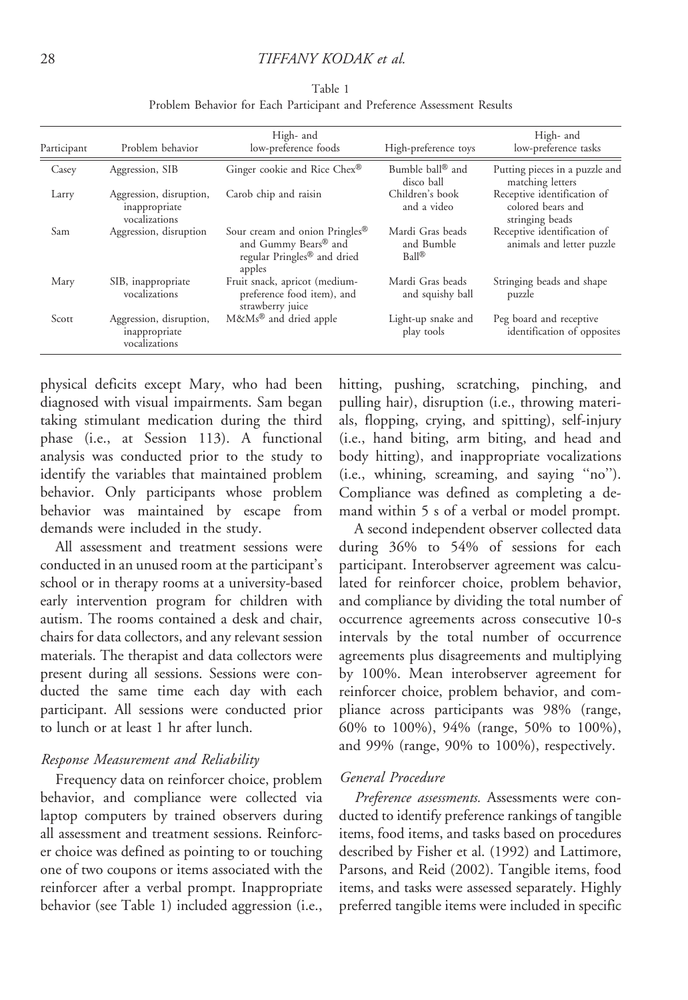| $1.4111$ , 1<br>Problem Behavior for Each Participant and Preference Assessment Results |                                                           |                                                                                                                           |                                                      |                                                                     |
|-----------------------------------------------------------------------------------------|-----------------------------------------------------------|---------------------------------------------------------------------------------------------------------------------------|------------------------------------------------------|---------------------------------------------------------------------|
| <i><b>urticipant</b></i>                                                                | Problem behavior                                          | High- and<br>low-preference foods                                                                                         | High-preference toys                                 | High- and<br>low-preference tasks                                   |
| Casey                                                                                   | Aggression, SIB                                           | Ginger cookie and Rice Chex®                                                                                              | Bumble ball <sup>®</sup> and<br>disco ball           | Putting pieces in a puzzle and<br>matching letters                  |
| Larry                                                                                   | Aggression, disruption,<br>inappropriate<br>vocalizations | Carob chip and raisin                                                                                                     | Children's book<br>and a video                       | Receptive identification of<br>colored bears and<br>stringing beads |
| Sam                                                                                     | Aggression, disruption                                    | Sour cream and onion Pringles <sup>®</sup><br>and Gummy Bears <sup>®</sup> and<br>regular Pringles <sup>®</sup> and dried | Mardi Gras beads<br>and Bumble<br>$Ball^{\circledR}$ | Receptive identification of<br>animals and letter puzzle            |

M&Ms® and dried apple Light-up snake and

apples

Fruit snack, apricot (mediumpreference food item), and strawberry juice

Table 1

physical deficits except Mary, who had been diagnosed with visual impairments. Sam began taking stimulant medication during the third phase (i.e., at Session 113). A functional analysis was conducted prior to the study to identify the variables that maintained problem behavior. Only participants whose problem behavior was maintained by escape from demands were included in the study.

All assessment and treatment sessions were conducted in an unused room at the participant's school or in therapy rooms at a university-based early intervention program for children with autism. The rooms contained a desk and chair, chairs for data collectors, and any relevant session materials. The therapist and data collectors were present during all sessions. Sessions were conducted the same time each day with each participant. All sessions were conducted prior to lunch or at least 1 hr after lunch.

## Response Measurement and Reliability

Frequency data on reinforcer choice, problem behavior, and compliance were collected via laptop computers by trained observers during all assessment and treatment sessions. Reinforcer choice was defined as pointing to or touching one of two coupons or items associated with the reinforcer after a verbal prompt. Inappropriate behavior (see Table 1) included aggression (i.e.,

hitting, pushing, scratching, pinching, and pulling hair), disruption (i.e., throwing materials, flopping, crying, and spitting), self-injury (i.e., hand biting, arm biting, and head and body hitting), and inappropriate vocalizations (i.e., whining, screaming, and saying ''no''). Compliance was defined as completing a demand within 5 s of a verbal or model prompt.

Stringing beads and shape

Peg board and receptive identification of opposites

puzzle

Mardi Gras beads and squishy ball

play tools

A second independent observer collected data during 36% to 54% of sessions for each participant. Interobserver agreement was calculated for reinforcer choice, problem behavior, and compliance by dividing the total number of occurrence agreements across consecutive 10-s intervals by the total number of occurrence agreements plus disagreements and multiplying by 100%. Mean interobserver agreement for reinforcer choice, problem behavior, and compliance across participants was 98% (range, 60% to 100%), 94% (range, 50% to 100%), and 99% (range, 90% to 100%), respectively.

# General Procedure

Preference assessments. Assessments were conducted to identify preference rankings of tangible items, food items, and tasks based on procedures described by Fisher et al. (1992) and Lattimore, Parsons, and Reid (2002). Tangible items, food items, and tasks were assessed separately. Highly preferred tangible items were included in specific

Particip

Mary SIB, inappropriate

Scott Aggression, disruption, inappropriate vocalizations

vocalizations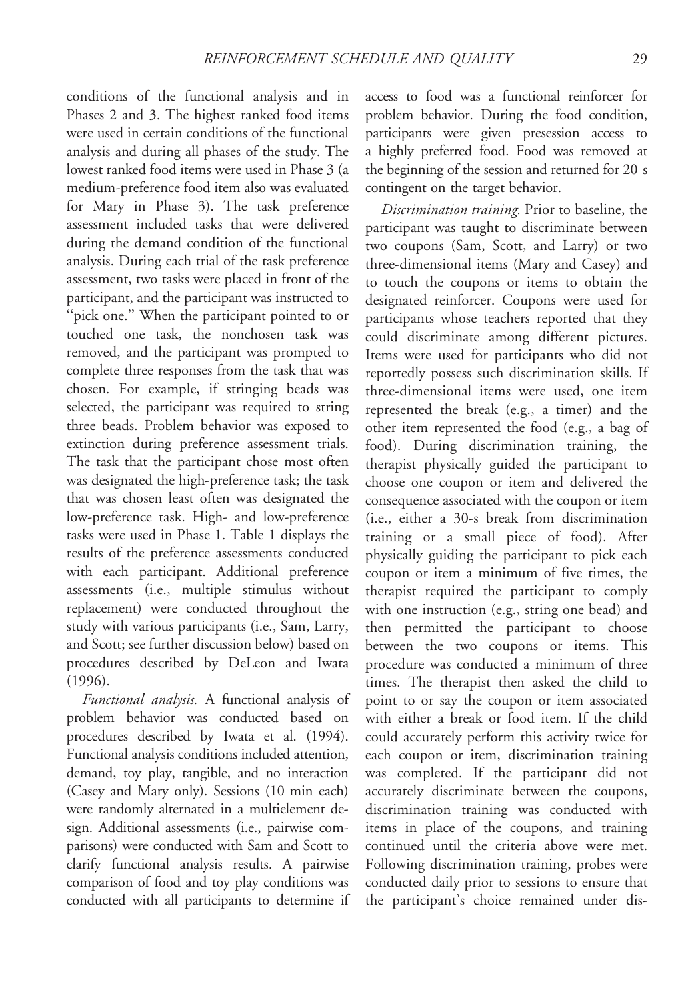conditions of the functional analysis and in Phases 2 and 3. The highest ranked food items were used in certain conditions of the functional analysis and during all phases of the study. The lowest ranked food items were used in Phase 3 (a medium-preference food item also was evaluated for Mary in Phase 3). The task preference assessment included tasks that were delivered during the demand condition of the functional analysis. During each trial of the task preference assessment, two tasks were placed in front of the participant, and the participant was instructed to "pick one." When the participant pointed to or touched one task, the nonchosen task was removed, and the participant was prompted to complete three responses from the task that was chosen. For example, if stringing beads was selected, the participant was required to string three beads. Problem behavior was exposed to extinction during preference assessment trials. The task that the participant chose most often was designated the high-preference task; the task that was chosen least often was designated the low-preference task. High- and low-preference tasks were used in Phase 1. Table 1 displays the results of the preference assessments conducted with each participant. Additional preference assessments (i.e., multiple stimulus without replacement) were conducted throughout the study with various participants (i.e., Sam, Larry, and Scott; see further discussion below) based on procedures described by DeLeon and Iwata (1996).

Functional analysis. A functional analysis of problem behavior was conducted based on procedures described by Iwata et al. (1994). Functional analysis conditions included attention, demand, toy play, tangible, and no interaction (Casey and Mary only). Sessions (10 min each) were randomly alternated in a multielement design. Additional assessments (i.e., pairwise comparisons) were conducted with Sam and Scott to clarify functional analysis results. A pairwise comparison of food and toy play conditions was conducted with all participants to determine if

access to food was a functional reinforcer for problem behavior. During the food condition, participants were given presession access to a highly preferred food. Food was removed at the beginning of the session and returned for 20 s contingent on the target behavior.

Discrimination training. Prior to baseline, the participant was taught to discriminate between two coupons (Sam, Scott, and Larry) or two three-dimensional items (Mary and Casey) and to touch the coupons or items to obtain the designated reinforcer. Coupons were used for participants whose teachers reported that they could discriminate among different pictures. Items were used for participants who did not reportedly possess such discrimination skills. If three-dimensional items were used, one item represented the break (e.g., a timer) and the other item represented the food (e.g., a bag of food). During discrimination training, the therapist physically guided the participant to choose one coupon or item and delivered the consequence associated with the coupon or item (i.e., either a 30-s break from discrimination training or a small piece of food). After physically guiding the participant to pick each coupon or item a minimum of five times, the therapist required the participant to comply with one instruction (e.g., string one bead) and then permitted the participant to choose between the two coupons or items. This procedure was conducted a minimum of three times. The therapist then asked the child to point to or say the coupon or item associated with either a break or food item. If the child could accurately perform this activity twice for each coupon or item, discrimination training was completed. If the participant did not accurately discriminate between the coupons, discrimination training was conducted with items in place of the coupons, and training continued until the criteria above were met. Following discrimination training, probes were conducted daily prior to sessions to ensure that the participant's choice remained under dis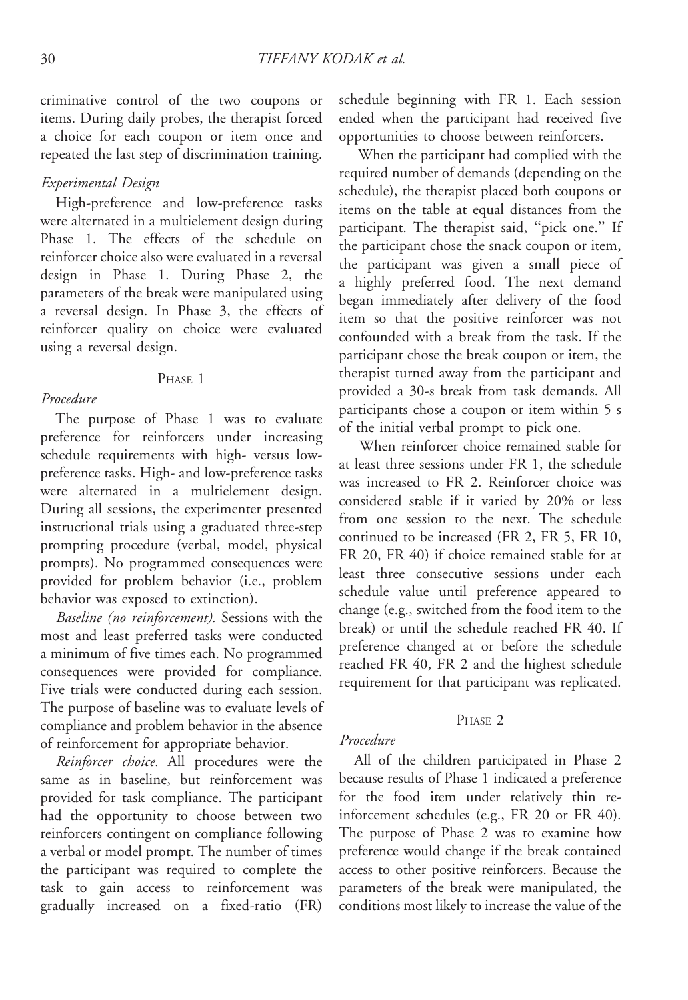criminative control of the two coupons or items. During daily probes, the therapist forced a choice for each coupon or item once and repeated the last step of discrimination training.

## Experimental Design

High-preference and low-preference tasks were alternated in a multielement design during Phase 1. The effects of the schedule on reinforcer choice also were evaluated in a reversal design in Phase 1. During Phase 2, the parameters of the break were manipulated using a reversal design. In Phase 3, the effects of reinforcer quality on choice were evaluated using a reversal design.

#### P<sub>HASE</sub> 1

## Procedure

The purpose of Phase 1 was to evaluate preference for reinforcers under increasing schedule requirements with high- versus lowpreference tasks. High- and low-preference tasks were alternated in a multielement design. During all sessions, the experimenter presented instructional trials using a graduated three-step prompting procedure (verbal, model, physical prompts). No programmed consequences were provided for problem behavior (i.e., problem behavior was exposed to extinction).

Baseline (no reinforcement). Sessions with the most and least preferred tasks were conducted a minimum of five times each. No programmed consequences were provided for compliance. Five trials were conducted during each session. The purpose of baseline was to evaluate levels of compliance and problem behavior in the absence of reinforcement for appropriate behavior.

Reinforcer choice. All procedures were the same as in baseline, but reinforcement was provided for task compliance. The participant had the opportunity to choose between two reinforcers contingent on compliance following a verbal or model prompt. The number of times the participant was required to complete the task to gain access to reinforcement was gradually increased on a fixed-ratio (FR)

schedule beginning with FR 1. Each session ended when the participant had received five opportunities to choose between reinforcers.

When the participant had complied with the required number of demands (depending on the schedule), the therapist placed both coupons or items on the table at equal distances from the participant. The therapist said, ''pick one.'' If the participant chose the snack coupon or item, the participant was given a small piece of a highly preferred food. The next demand began immediately after delivery of the food item so that the positive reinforcer was not confounded with a break from the task. If the participant chose the break coupon or item, the therapist turned away from the participant and provided a 30-s break from task demands. All participants chose a coupon or item within 5 s of the initial verbal prompt to pick one.

When reinforcer choice remained stable for at least three sessions under FR 1, the schedule was increased to FR 2. Reinforcer choice was considered stable if it varied by 20% or less from one session to the next. The schedule continued to be increased (FR 2, FR 5, FR 10, FR 20, FR 40) if choice remained stable for at least three consecutive sessions under each schedule value until preference appeared to change (e.g., switched from the food item to the break) or until the schedule reached FR 40. If preference changed at or before the schedule reached FR 40, FR 2 and the highest schedule requirement for that participant was replicated.

#### PHASE 2

## Procedure

All of the children participated in Phase 2 because results of Phase 1 indicated a preference for the food item under relatively thin reinforcement schedules (e.g., FR 20 or FR 40). The purpose of Phase 2 was to examine how preference would change if the break contained access to other positive reinforcers. Because the parameters of the break were manipulated, the conditions most likely to increase the value of the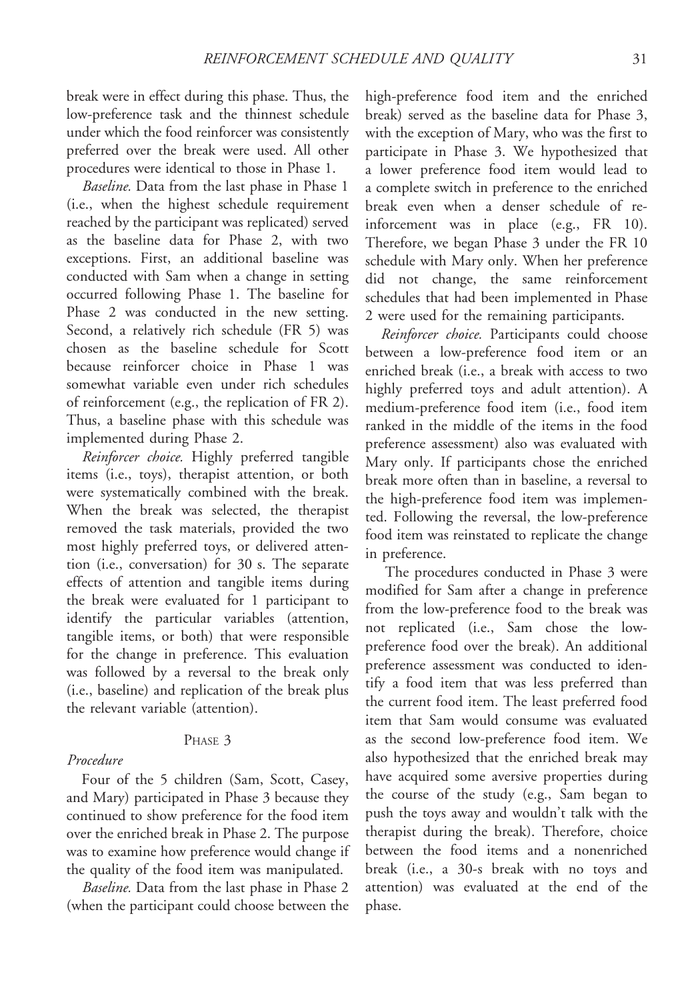break were in effect during this phase. Thus, the low-preference task and the thinnest schedule under which the food reinforcer was consistently preferred over the break were used. All other procedures were identical to those in Phase 1.

Baseline. Data from the last phase in Phase 1 (i.e., when the highest schedule requirement reached by the participant was replicated) served as the baseline data for Phase 2, with two exceptions. First, an additional baseline was conducted with Sam when a change in setting occurred following Phase 1. The baseline for Phase 2 was conducted in the new setting. Second, a relatively rich schedule (FR 5) was chosen as the baseline schedule for Scott because reinforcer choice in Phase 1 was somewhat variable even under rich schedules of reinforcement (e.g., the replication of FR 2). Thus, a baseline phase with this schedule was implemented during Phase 2.

Reinforcer choice. Highly preferred tangible items (i.e., toys), therapist attention, or both were systematically combined with the break. When the break was selected, the therapist removed the task materials, provided the two most highly preferred toys, or delivered attention (i.e., conversation) for 30 s. The separate effects of attention and tangible items during the break were evaluated for 1 participant to identify the particular variables (attention, tangible items, or both) that were responsible for the change in preference. This evaluation was followed by a reversal to the break only (i.e., baseline) and replication of the break plus the relevant variable (attention).

## P<sub>HASE</sub> 3

#### Procedure

Four of the 5 children (Sam, Scott, Casey, and Mary) participated in Phase 3 because they continued to show preference for the food item over the enriched break in Phase 2. The purpose was to examine how preference would change if the quality of the food item was manipulated.

Baseline. Data from the last phase in Phase 2 (when the participant could choose between the

high-preference food item and the enriched break) served as the baseline data for Phase 3, with the exception of Mary, who was the first to participate in Phase 3. We hypothesized that a lower preference food item would lead to a complete switch in preference to the enriched break even when a denser schedule of reinforcement was in place (e.g., FR 10). Therefore, we began Phase 3 under the FR 10 schedule with Mary only. When her preference did not change, the same reinforcement schedules that had been implemented in Phase 2 were used for the remaining participants.

Reinforcer choice. Participants could choose between a low-preference food item or an enriched break (i.e., a break with access to two highly preferred toys and adult attention). A medium-preference food item (i.e., food item ranked in the middle of the items in the food preference assessment) also was evaluated with Mary only. If participants chose the enriched break more often than in baseline, a reversal to the high-preference food item was implemented. Following the reversal, the low-preference food item was reinstated to replicate the change in preference.

The procedures conducted in Phase 3 were modified for Sam after a change in preference from the low-preference food to the break was not replicated (i.e., Sam chose the lowpreference food over the break). An additional preference assessment was conducted to identify a food item that was less preferred than the current food item. The least preferred food item that Sam would consume was evaluated as the second low-preference food item. We also hypothesized that the enriched break may have acquired some aversive properties during the course of the study (e.g., Sam began to push the toys away and wouldn't talk with the therapist during the break). Therefore, choice between the food items and a nonenriched break (i.e., a 30-s break with no toys and attention) was evaluated at the end of the phase.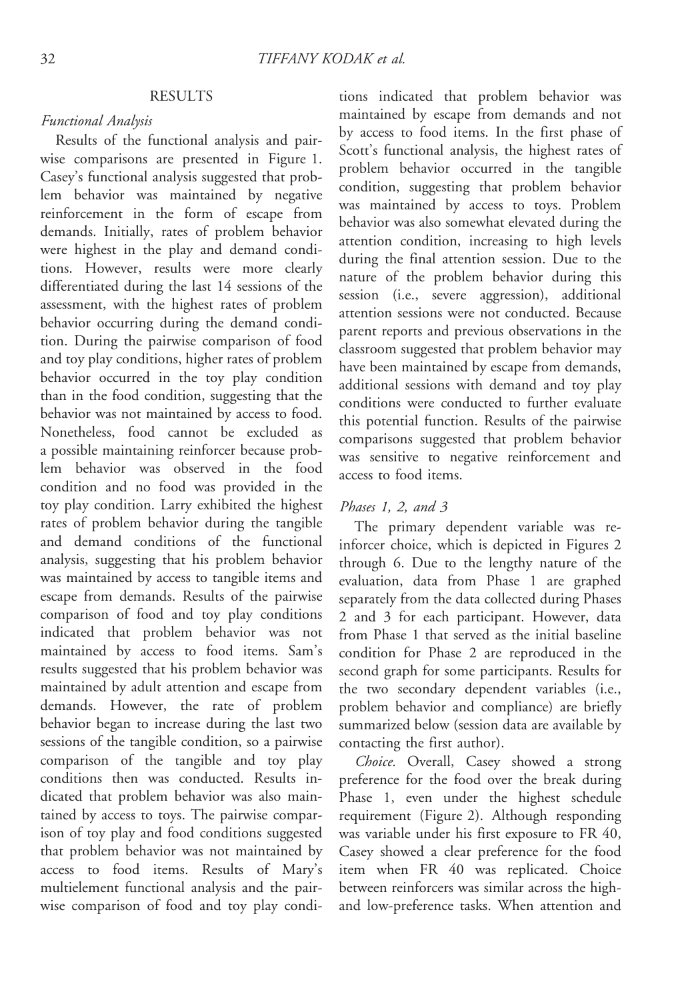## RESULTS

## Functional Analysis

Results of the functional analysis and pairwise comparisons are presented in Figure 1. Casey's functional analysis suggested that problem behavior was maintained by negative reinforcement in the form of escape from demands. Initially, rates of problem behavior were highest in the play and demand conditions. However, results were more clearly differentiated during the last 14 sessions of the assessment, with the highest rates of problem behavior occurring during the demand condition. During the pairwise comparison of food and toy play conditions, higher rates of problem behavior occurred in the toy play condition than in the food condition, suggesting that the behavior was not maintained by access to food. Nonetheless, food cannot be excluded as a possible maintaining reinforcer because problem behavior was observed in the food condition and no food was provided in the toy play condition. Larry exhibited the highest rates of problem behavior during the tangible and demand conditions of the functional analysis, suggesting that his problem behavior was maintained by access to tangible items and escape from demands. Results of the pairwise comparison of food and toy play conditions indicated that problem behavior was not maintained by access to food items. Sam's results suggested that his problem behavior was maintained by adult attention and escape from demands. However, the rate of problem behavior began to increase during the last two sessions of the tangible condition, so a pairwise comparison of the tangible and toy play conditions then was conducted. Results indicated that problem behavior was also maintained by access to toys. The pairwise comparison of toy play and food conditions suggested that problem behavior was not maintained by access to food items. Results of Mary's multielement functional analysis and the pairwise comparison of food and toy play condi-

tions indicated that problem behavior was maintained by escape from demands and not by access to food items. In the first phase of Scott's functional analysis, the highest rates of problem behavior occurred in the tangible condition, suggesting that problem behavior was maintained by access to toys. Problem behavior was also somewhat elevated during the attention condition, increasing to high levels during the final attention session. Due to the nature of the problem behavior during this session (i.e., severe aggression), additional attention sessions were not conducted. Because parent reports and previous observations in the classroom suggested that problem behavior may have been maintained by escape from demands, additional sessions with demand and toy play conditions were conducted to further evaluate this potential function. Results of the pairwise comparisons suggested that problem behavior was sensitive to negative reinforcement and access to food items.

## Phases 1, 2, and 3

The primary dependent variable was reinforcer choice, which is depicted in Figures 2 through 6. Due to the lengthy nature of the evaluation, data from Phase 1 are graphed separately from the data collected during Phases 2 and 3 for each participant. However, data from Phase 1 that served as the initial baseline condition for Phase 2 are reproduced in the second graph for some participants. Results for the two secondary dependent variables (i.e., problem behavior and compliance) are briefly summarized below (session data are available by contacting the first author).

Choice. Overall, Casey showed a strong preference for the food over the break during Phase 1, even under the highest schedule requirement (Figure 2). Although responding was variable under his first exposure to FR 40, Casey showed a clear preference for the food item when FR 40 was replicated. Choice between reinforcers was similar across the highand low-preference tasks. When attention and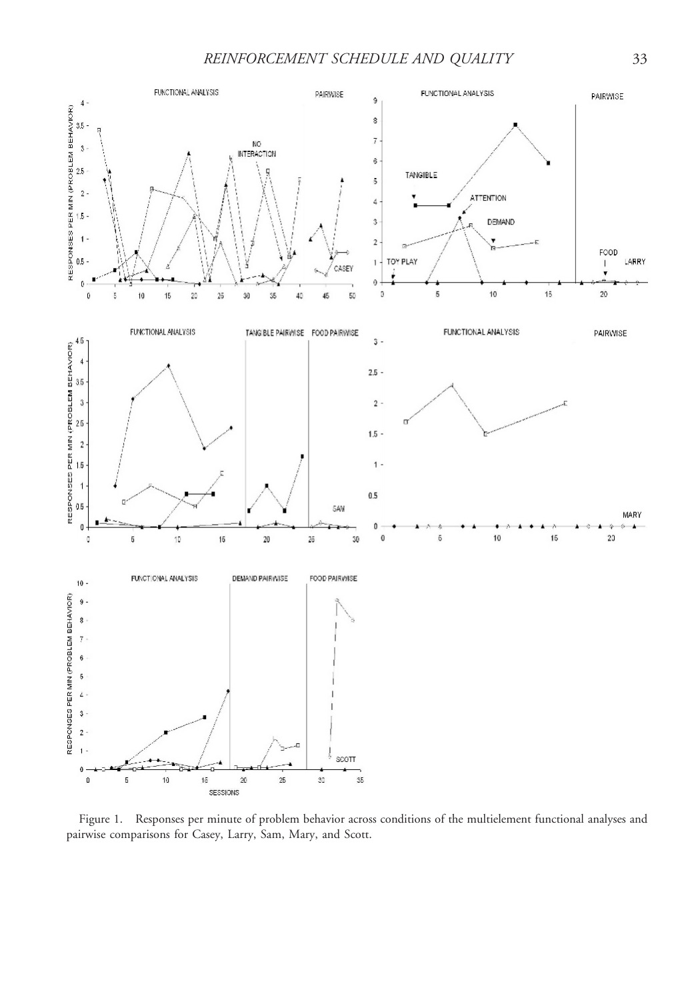

Figure 1. Responses per minute of problem behavior across conditions of the multielement functional analyses and pairwise comparisons for Casey, Larry, Sam, Mary, and Scott.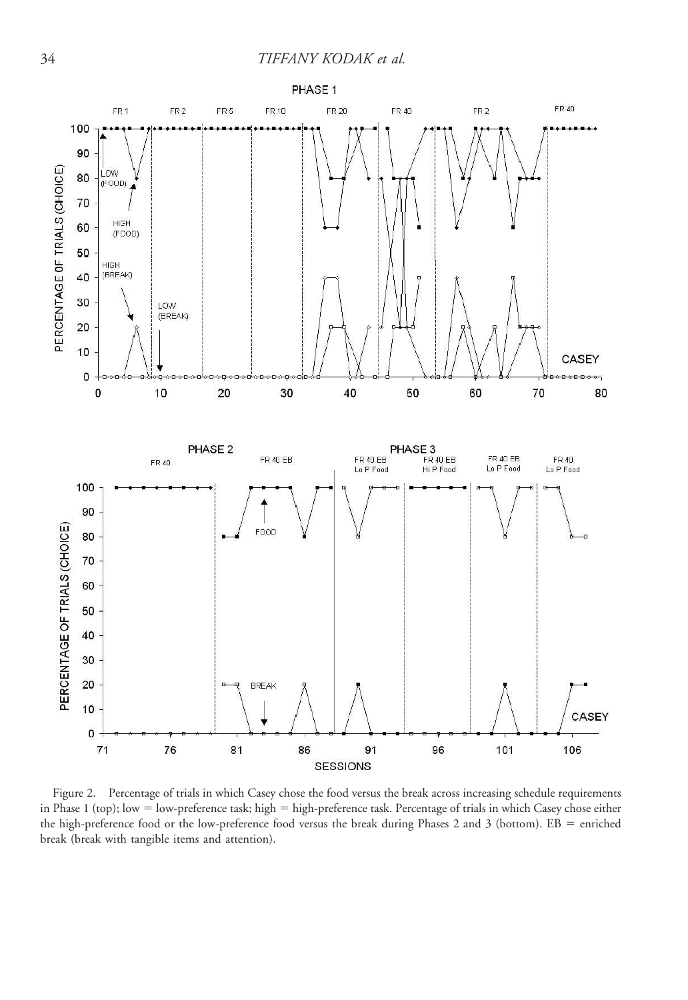

Figure 2. Percentage of trials in which Casey chose the food versus the break across increasing schedule requirements in Phase 1 (top); low  $=$  low-preference task; high  $=$  high-preference task. Percentage of trials in which Casey chose either the high-preference food or the low-preference food versus the break during Phases 2 and 3 (bottom).  $EB =$  enriched break (break with tangible items and attention).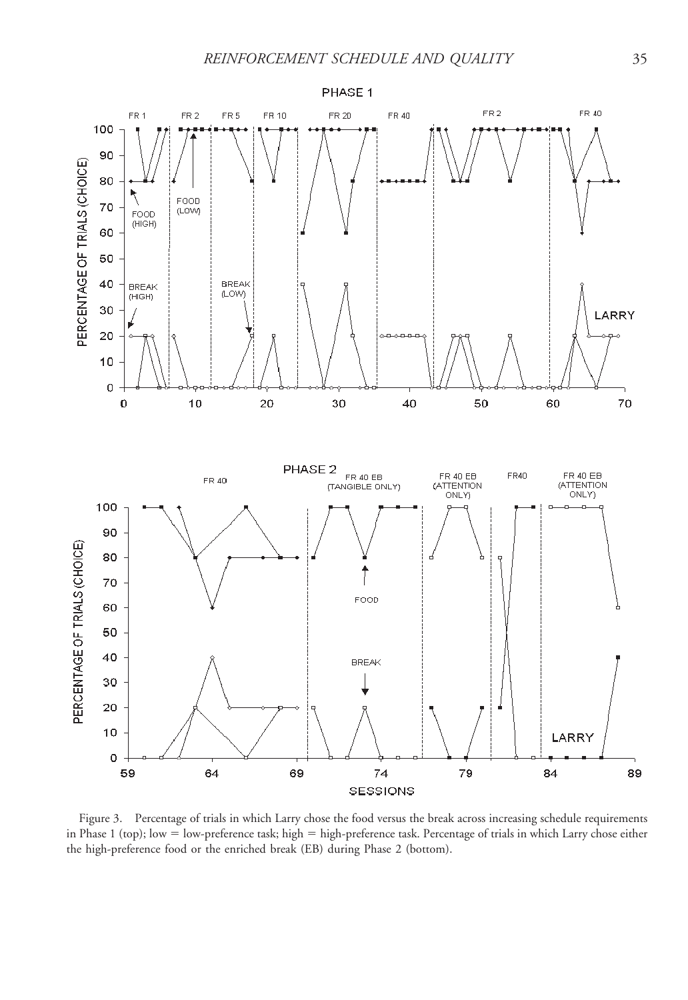

Figure 3. Percentage of trials in which Larry chose the food versus the break across increasing schedule requirements in Phase 1 (top); low  $=$  low-preference task; high  $=$  high-preference task. Percentage of trials in which Larry chose either the high-preference food or the enriched break (EB) during Phase 2 (bottom).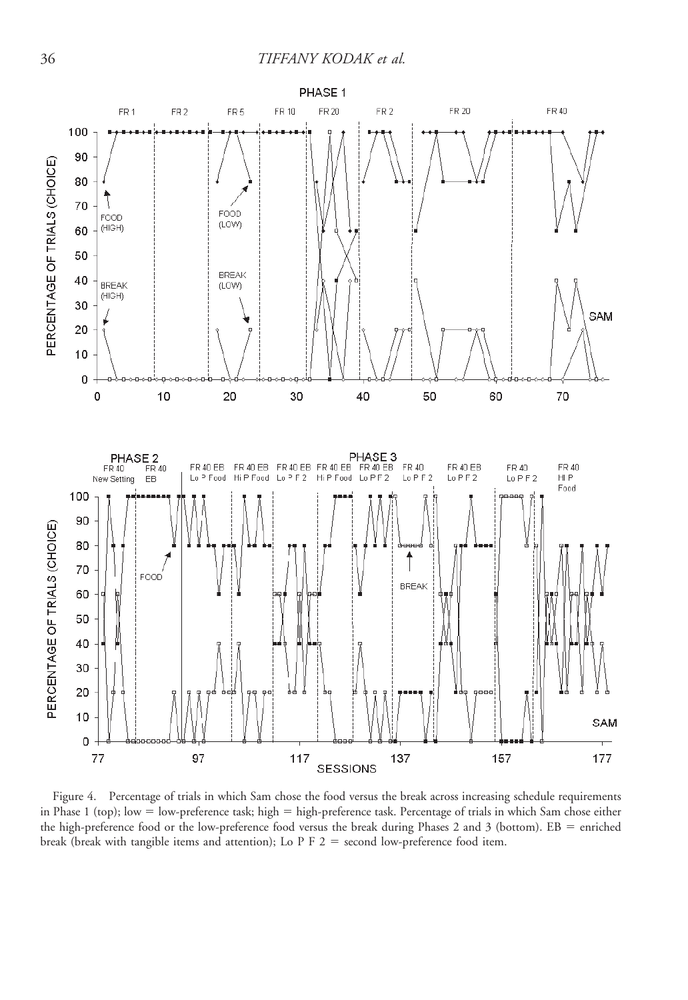

Figure 4. Percentage of trials in which Sam chose the food versus the break across increasing schedule requirements in Phase 1 (top); low  $=$  low-preference task; high  $=$  high-preference task. Percentage of trials in which Sam chose either the high-preference food or the low-preference food versus the break during Phases 2 and 3 (bottom).  $EB =$  enriched break (break with tangible items and attention); Lo P F  $2 =$  second low-preference food item.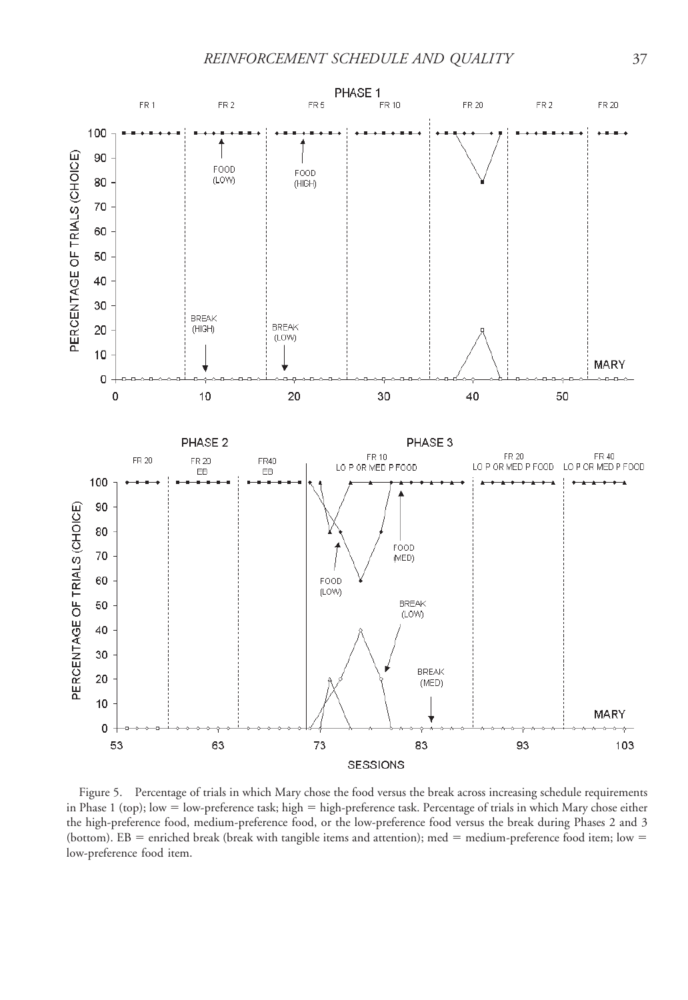

Figure 5. Percentage of trials in which Mary chose the food versus the break across increasing schedule requirements in Phase 1 (top); low  $=$  low-preference task; high  $=$  high-preference task. Percentage of trials in which Mary chose either the high-preference food, medium-preference food, or the low-preference food versus the break during Phases 2 and 3 (bottom). EB = enriched break (break with tangible items and attention); med = medium-preference food item; low = low-preference food item.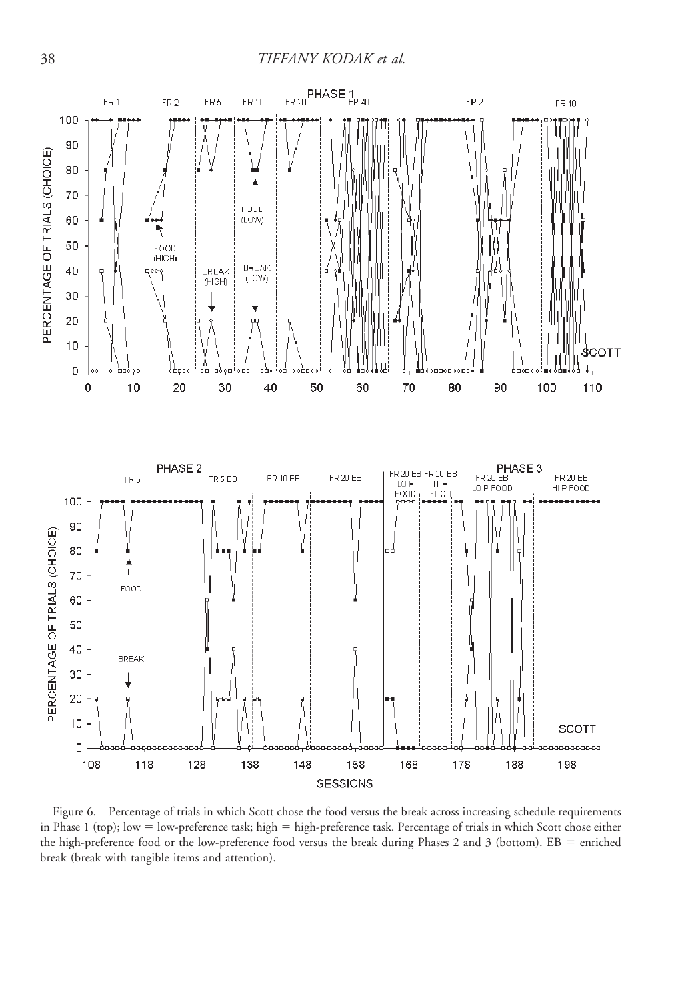

Figure 6. Percentage of trials in which Scott chose the food versus the break across increasing schedule requirements in Phase 1 (top); low  $=$  low-preference task; high  $=$  high-preference task. Percentage of trials in which Scott chose either the high-preference food or the low-preference food versus the break during Phases 2 and 3 (bottom).  $EB =$  enriched break (break with tangible items and attention).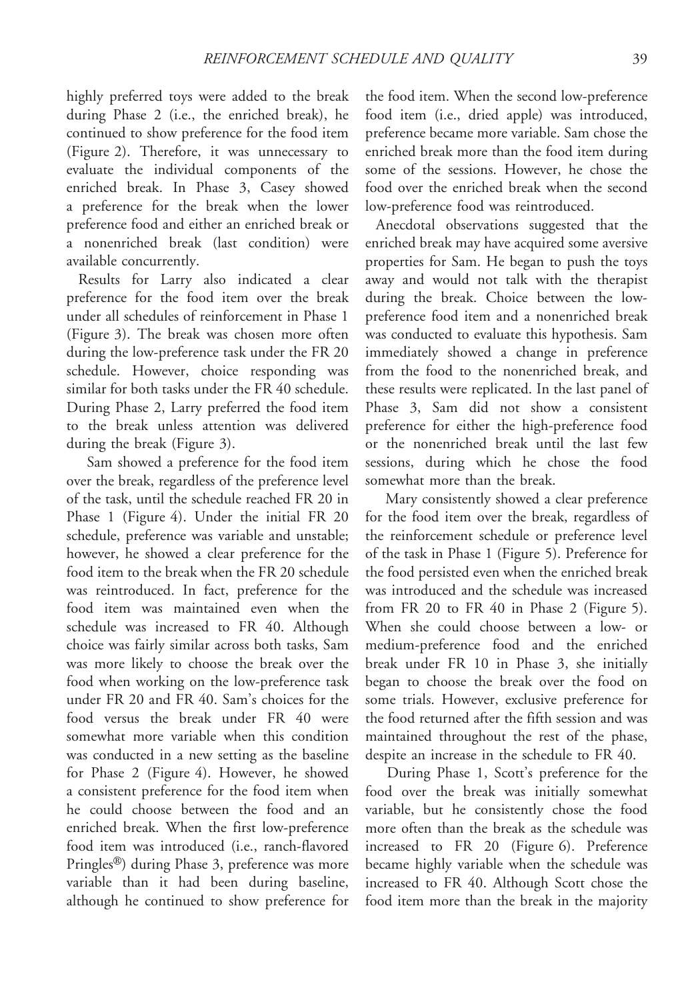highly preferred toys were added to the break during Phase 2 (i.e., the enriched break), he continued to show preference for the food item (Figure 2). Therefore, it was unnecessary to evaluate the individual components of the enriched break. In Phase 3, Casey showed a preference for the break when the lower preference food and either an enriched break or a nonenriched break (last condition) were available concurrently.

Results for Larry also indicated a clear preference for the food item over the break under all schedules of reinforcement in Phase 1 (Figure 3). The break was chosen more often during the low-preference task under the FR 20 schedule. However, choice responding was similar for both tasks under the FR 40 schedule. During Phase 2, Larry preferred the food item to the break unless attention was delivered during the break (Figure 3).

Sam showed a preference for the food item over the break, regardless of the preference level of the task, until the schedule reached FR 20 in Phase 1 (Figure 4). Under the initial FR 20 schedule, preference was variable and unstable; however, he showed a clear preference for the food item to the break when the FR 20 schedule was reintroduced. In fact, preference for the food item was maintained even when the schedule was increased to FR 40. Although choice was fairly similar across both tasks, Sam was more likely to choose the break over the food when working on the low-preference task under FR 20 and FR 40. Sam's choices for the food versus the break under FR 40 were somewhat more variable when this condition was conducted in a new setting as the baseline for Phase 2 (Figure 4). However, he showed a consistent preference for the food item when he could choose between the food and an enriched break. When the first low-preference food item was introduced (i.e., ranch-flavored Pringles $\mathcal{B}$ ) during Phase 3, preference was more variable than it had been during baseline, although he continued to show preference for

the food item. When the second low-preference food item (i.e., dried apple) was introduced, preference became more variable. Sam chose the enriched break more than the food item during some of the sessions. However, he chose the food over the enriched break when the second low-preference food was reintroduced.

Anecdotal observations suggested that the enriched break may have acquired some aversive properties for Sam. He began to push the toys away and would not talk with the therapist during the break. Choice between the lowpreference food item and a nonenriched break was conducted to evaluate this hypothesis. Sam immediately showed a change in preference from the food to the nonenriched break, and these results were replicated. In the last panel of Phase 3, Sam did not show a consistent preference for either the high-preference food or the nonenriched break until the last few sessions, during which he chose the food somewhat more than the break.

Mary consistently showed a clear preference for the food item over the break, regardless of the reinforcement schedule or preference level of the task in Phase 1 (Figure 5). Preference for the food persisted even when the enriched break was introduced and the schedule was increased from FR 20 to FR 40 in Phase 2 (Figure 5). When she could choose between a low- or medium-preference food and the enriched break under FR 10 in Phase 3, she initially began to choose the break over the food on some trials. However, exclusive preference for the food returned after the fifth session and was maintained throughout the rest of the phase, despite an increase in the schedule to FR 40.

During Phase 1, Scott's preference for the food over the break was initially somewhat variable, but he consistently chose the food more often than the break as the schedule was increased to FR 20 (Figure 6). Preference became highly variable when the schedule was increased to FR 40. Although Scott chose the food item more than the break in the majority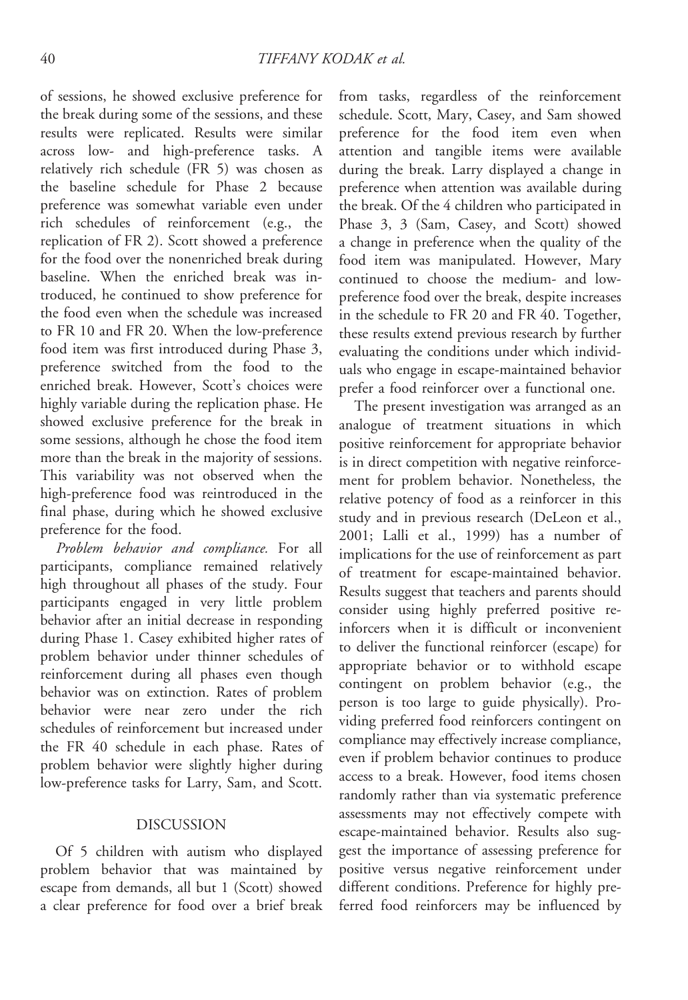of sessions, he showed exclusive preference for the break during some of the sessions, and these results were replicated. Results were similar across low- and high-preference tasks. A relatively rich schedule (FR 5) was chosen as the baseline schedule for Phase 2 because preference was somewhat variable even under rich schedules of reinforcement (e.g., the replication of FR 2). Scott showed a preference for the food over the nonenriched break during baseline. When the enriched break was introduced, he continued to show preference for the food even when the schedule was increased to FR 10 and FR 20. When the low-preference food item was first introduced during Phase 3, preference switched from the food to the enriched break. However, Scott's choices were highly variable during the replication phase. He showed exclusive preference for the break in some sessions, although he chose the food item more than the break in the majority of sessions. This variability was not observed when the high-preference food was reintroduced in the final phase, during which he showed exclusive preference for the food.

Problem behavior and compliance. For all participants, compliance remained relatively high throughout all phases of the study. Four participants engaged in very little problem behavior after an initial decrease in responding during Phase 1. Casey exhibited higher rates of problem behavior under thinner schedules of reinforcement during all phases even though behavior was on extinction. Rates of problem behavior were near zero under the rich schedules of reinforcement but increased under the FR 40 schedule in each phase. Rates of problem behavior were slightly higher during low-preference tasks for Larry, Sam, and Scott.

## DISCUSSION

Of 5 children with autism who displayed problem behavior that was maintained by escape from demands, all but 1 (Scott) showed a clear preference for food over a brief break from tasks, regardless of the reinforcement schedule. Scott, Mary, Casey, and Sam showed preference for the food item even when attention and tangible items were available during the break. Larry displayed a change in preference when attention was available during the break. Of the 4 children who participated in Phase 3, 3 (Sam, Casey, and Scott) showed a change in preference when the quality of the food item was manipulated. However, Mary continued to choose the medium- and lowpreference food over the break, despite increases in the schedule to FR 20 and FR 40. Together, these results extend previous research by further evaluating the conditions under which individuals who engage in escape-maintained behavior prefer a food reinforcer over a functional one.

The present investigation was arranged as an analogue of treatment situations in which positive reinforcement for appropriate behavior is in direct competition with negative reinforcement for problem behavior. Nonetheless, the relative potency of food as a reinforcer in this study and in previous research (DeLeon et al., 2001; Lalli et al., 1999) has a number of implications for the use of reinforcement as part of treatment for escape-maintained behavior. Results suggest that teachers and parents should consider using highly preferred positive reinforcers when it is difficult or inconvenient to deliver the functional reinforcer (escape) for appropriate behavior or to withhold escape contingent on problem behavior (e.g., the person is too large to guide physically). Providing preferred food reinforcers contingent on compliance may effectively increase compliance, even if problem behavior continues to produce access to a break. However, food items chosen randomly rather than via systematic preference assessments may not effectively compete with escape-maintained behavior. Results also suggest the importance of assessing preference for positive versus negative reinforcement under different conditions. Preference for highly preferred food reinforcers may be influenced by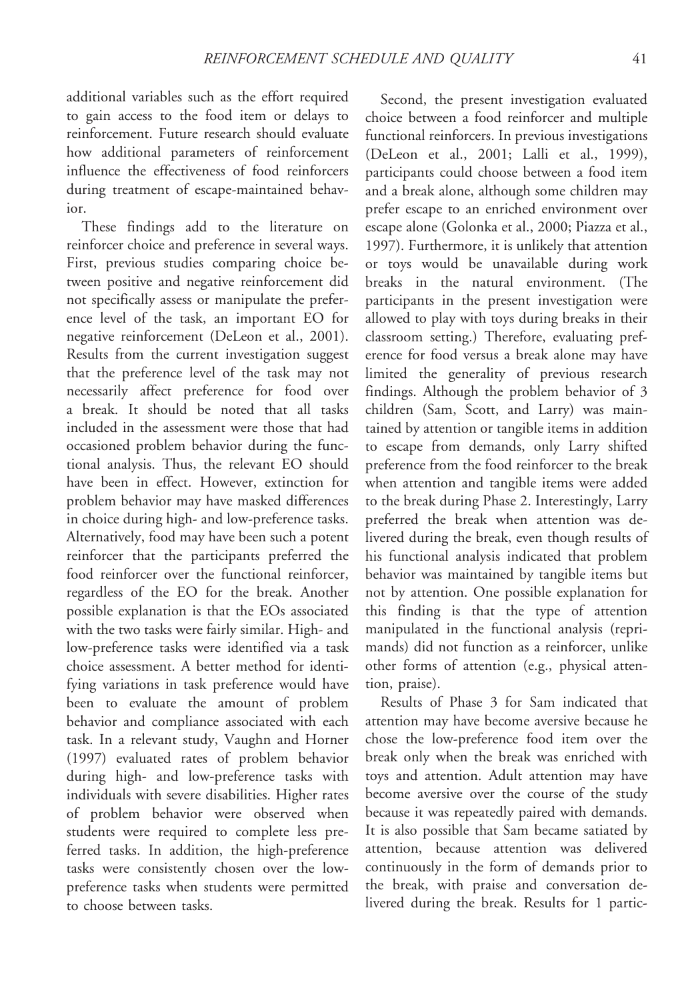additional variables such as the effort required to gain access to the food item or delays to reinforcement. Future research should evaluate how additional parameters of reinforcement influence the effectiveness of food reinforcers during treatment of escape-maintained behavior.

These findings add to the literature on reinforcer choice and preference in several ways. First, previous studies comparing choice between positive and negative reinforcement did not specifically assess or manipulate the preference level of the task, an important EO for negative reinforcement (DeLeon et al., 2001). Results from the current investigation suggest that the preference level of the task may not necessarily affect preference for food over a break. It should be noted that all tasks included in the assessment were those that had occasioned problem behavior during the functional analysis. Thus, the relevant EO should have been in effect. However, extinction for problem behavior may have masked differences in choice during high- and low-preference tasks. Alternatively, food may have been such a potent reinforcer that the participants preferred the food reinforcer over the functional reinforcer, regardless of the EO for the break. Another possible explanation is that the EOs associated with the two tasks were fairly similar. High- and low-preference tasks were identified via a task choice assessment. A better method for identifying variations in task preference would have been to evaluate the amount of problem behavior and compliance associated with each task. In a relevant study, Vaughn and Horner (1997) evaluated rates of problem behavior during high- and low-preference tasks with individuals with severe disabilities. Higher rates of problem behavior were observed when students were required to complete less preferred tasks. In addition, the high-preference tasks were consistently chosen over the lowpreference tasks when students were permitted to choose between tasks.

Second, the present investigation evaluated choice between a food reinforcer and multiple functional reinforcers. In previous investigations (DeLeon et al., 2001; Lalli et al., 1999), participants could choose between a food item and a break alone, although some children may prefer escape to an enriched environment over escape alone (Golonka et al., 2000; Piazza et al., 1997). Furthermore, it is unlikely that attention or toys would be unavailable during work breaks in the natural environment. (The participants in the present investigation were allowed to play with toys during breaks in their classroom setting.) Therefore, evaluating preference for food versus a break alone may have limited the generality of previous research findings. Although the problem behavior of 3 children (Sam, Scott, and Larry) was maintained by attention or tangible items in addition to escape from demands, only Larry shifted preference from the food reinforcer to the break when attention and tangible items were added to the break during Phase 2. Interestingly, Larry preferred the break when attention was delivered during the break, even though results of his functional analysis indicated that problem behavior was maintained by tangible items but not by attention. One possible explanation for this finding is that the type of attention manipulated in the functional analysis (reprimands) did not function as a reinforcer, unlike other forms of attention (e.g., physical attention, praise).

Results of Phase 3 for Sam indicated that attention may have become aversive because he chose the low-preference food item over the break only when the break was enriched with toys and attention. Adult attention may have become aversive over the course of the study because it was repeatedly paired with demands. It is also possible that Sam became satiated by attention, because attention was delivered continuously in the form of demands prior to the break, with praise and conversation delivered during the break. Results for 1 partic-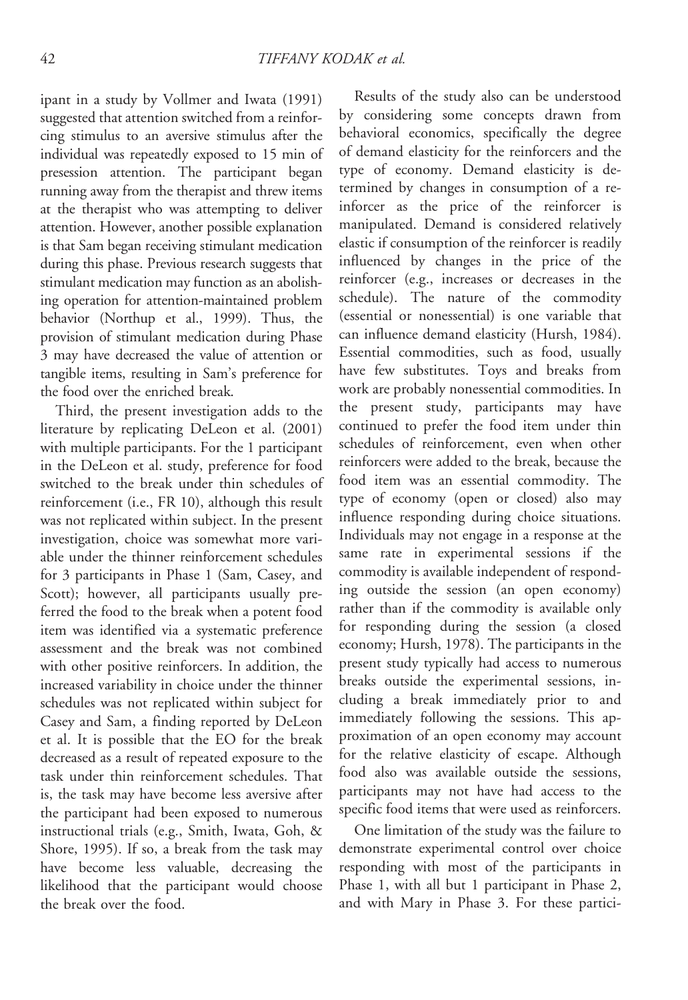ipant in a study by Vollmer and Iwata (1991) suggested that attention switched from a reinforcing stimulus to an aversive stimulus after the individual was repeatedly exposed to 15 min of presession attention. The participant began running away from the therapist and threw items at the therapist who was attempting to deliver attention. However, another possible explanation is that Sam began receiving stimulant medication during this phase. Previous research suggests that stimulant medication may function as an abolishing operation for attention-maintained problem behavior (Northup et al., 1999). Thus, the provision of stimulant medication during Phase 3 may have decreased the value of attention or tangible items, resulting in Sam's preference for the food over the enriched break.

Third, the present investigation adds to the literature by replicating DeLeon et al. (2001) with multiple participants. For the 1 participant in the DeLeon et al. study, preference for food switched to the break under thin schedules of reinforcement (i.e., FR 10), although this result was not replicated within subject. In the present investigation, choice was somewhat more variable under the thinner reinforcement schedules for 3 participants in Phase 1 (Sam, Casey, and Scott); however, all participants usually preferred the food to the break when a potent food item was identified via a systematic preference assessment and the break was not combined with other positive reinforcers. In addition, the increased variability in choice under the thinner schedules was not replicated within subject for Casey and Sam, a finding reported by DeLeon et al. It is possible that the EO for the break decreased as a result of repeated exposure to the task under thin reinforcement schedules. That is, the task may have become less aversive after the participant had been exposed to numerous instructional trials (e.g., Smith, Iwata, Goh, & Shore, 1995). If so, a break from the task may have become less valuable, decreasing the likelihood that the participant would choose the break over the food.

Results of the study also can be understood by considering some concepts drawn from behavioral economics, specifically the degree of demand elasticity for the reinforcers and the type of economy. Demand elasticity is determined by changes in consumption of a reinforcer as the price of the reinforcer is manipulated. Demand is considered relatively elastic if consumption of the reinforcer is readily influenced by changes in the price of the reinforcer (e.g., increases or decreases in the schedule). The nature of the commodity (essential or nonessential) is one variable that can influence demand elasticity (Hursh, 1984). Essential commodities, such as food, usually have few substitutes. Toys and breaks from work are probably nonessential commodities. In the present study, participants may have continued to prefer the food item under thin schedules of reinforcement, even when other reinforcers were added to the break, because the food item was an essential commodity. The type of economy (open or closed) also may influence responding during choice situations. Individuals may not engage in a response at the same rate in experimental sessions if the commodity is available independent of responding outside the session (an open economy) rather than if the commodity is available only for responding during the session (a closed economy; Hursh, 1978). The participants in the present study typically had access to numerous breaks outside the experimental sessions, including a break immediately prior to and immediately following the sessions. This approximation of an open economy may account for the relative elasticity of escape. Although food also was available outside the sessions, participants may not have had access to the specific food items that were used as reinforcers.

One limitation of the study was the failure to demonstrate experimental control over choice responding with most of the participants in Phase 1, with all but 1 participant in Phase 2, and with Mary in Phase 3. For these partici-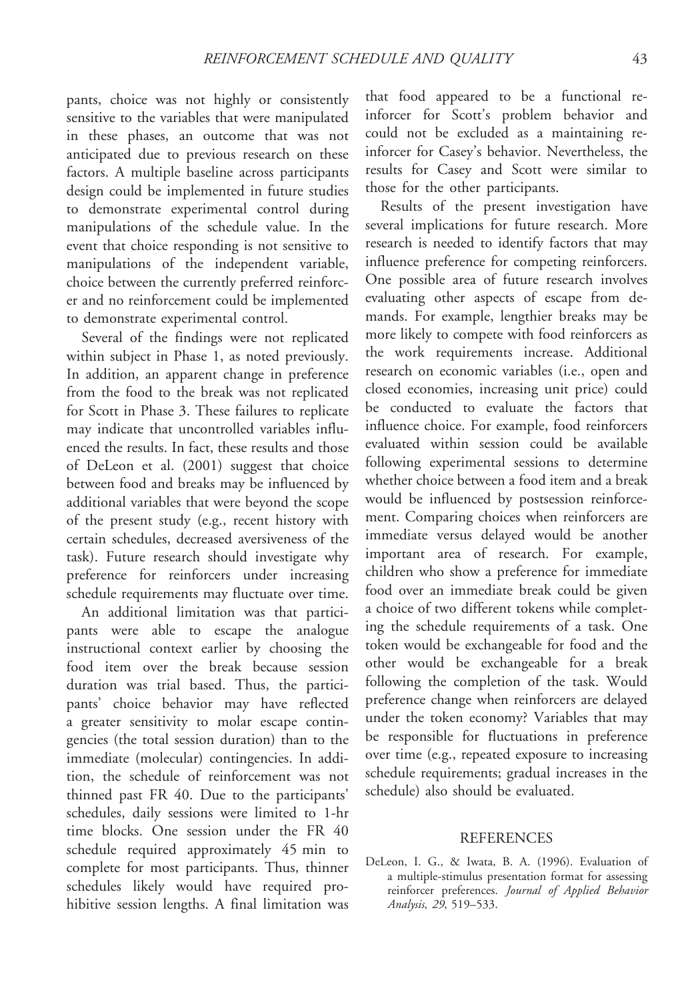pants, choice was not highly or consistently sensitive to the variables that were manipulated in these phases, an outcome that was not anticipated due to previous research on these factors. A multiple baseline across participants design could be implemented in future studies to demonstrate experimental control during manipulations of the schedule value. In the event that choice responding is not sensitive to manipulations of the independent variable, choice between the currently preferred reinforcer and no reinforcement could be implemented to demonstrate experimental control.

Several of the findings were not replicated within subject in Phase 1, as noted previously. In addition, an apparent change in preference from the food to the break was not replicated for Scott in Phase 3. These failures to replicate may indicate that uncontrolled variables influenced the results. In fact, these results and those of DeLeon et al. (2001) suggest that choice between food and breaks may be influenced by additional variables that were beyond the scope of the present study (e.g., recent history with certain schedules, decreased aversiveness of the task). Future research should investigate why preference for reinforcers under increasing schedule requirements may fluctuate over time.

An additional limitation was that participants were able to escape the analogue instructional context earlier by choosing the food item over the break because session duration was trial based. Thus, the participants' choice behavior may have reflected a greater sensitivity to molar escape contingencies (the total session duration) than to the immediate (molecular) contingencies. In addition, the schedule of reinforcement was not thinned past FR 40. Due to the participants' schedules, daily sessions were limited to 1-hr time blocks. One session under the FR 40 schedule required approximately 45 min to complete for most participants. Thus, thinner schedules likely would have required prohibitive session lengths. A final limitation was

that food appeared to be a functional reinforcer for Scott's problem behavior and could not be excluded as a maintaining reinforcer for Casey's behavior. Nevertheless, the results for Casey and Scott were similar to those for the other participants.

Results of the present investigation have several implications for future research. More research is needed to identify factors that may influence preference for competing reinforcers. One possible area of future research involves evaluating other aspects of escape from demands. For example, lengthier breaks may be more likely to compete with food reinforcers as the work requirements increase. Additional research on economic variables (i.e., open and closed economies, increasing unit price) could be conducted to evaluate the factors that influence choice. For example, food reinforcers evaluated within session could be available following experimental sessions to determine whether choice between a food item and a break would be influenced by postsession reinforcement. Comparing choices when reinforcers are immediate versus delayed would be another important area of research. For example, children who show a preference for immediate food over an immediate break could be given a choice of two different tokens while completing the schedule requirements of a task. One token would be exchangeable for food and the other would be exchangeable for a break following the completion of the task. Would preference change when reinforcers are delayed under the token economy? Variables that may be responsible for fluctuations in preference over time (e.g., repeated exposure to increasing schedule requirements; gradual increases in the schedule) also should be evaluated.

#### REFERENCES

DeLeon, I. G., & Iwata, B. A. (1996). Evaluation of a multiple-stimulus presentation format for assessing reinforcer preferences. Journal of Applied Behavior Analysis, 29, 519–533.